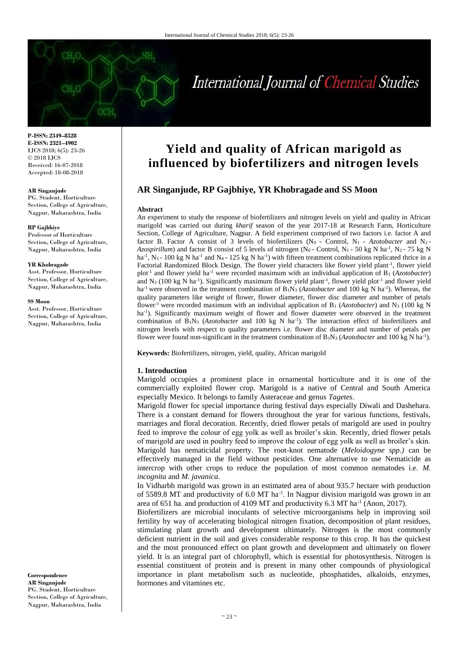# International Journal of Chemical Studies

**P-ISSN: 2349–8528 E-ISSN: 2321–4902** IJCS 2018; 6(5): 23-26 © 2018 IJCS Received: 16-07-2018 Accepted: 18-08-2018

#### **AR Singanjude**

PG. Student, Horticulture Section, College of Agriculture, Nagpur, Maharashtra, India

#### **RP Gajbhiye**

Professor of Horticulture Section, College of Agriculture, Nagpur, Maharashtra, India

#### **YR Khobragade**

Asst. Professor, Horticulture Section, College of Agriculture, Nagpur, Maharashtra, India

#### **SS Moon**

Asst. Professor, Horticulture Section, College of Agriculture, Nagpur, Maharashtra, India

# **Yield and quality of African marigold as influenced by biofertilizers and nitrogen levels**

# **AR Singanjude, RP Gajbhiye, YR Khobragade and SS Moon**

#### **Abstract**

An experiment to study the response of biofertilizers and nitrogen levels on yield and quality in African marigold was carried out during *kharif* season of the year 2017-18 at Research Farm, Horticulture Section, College of Agriculture, Nagpur. A field experiment comprised of two factors i.e. factor A and factor B. Factor A consist of 3 levels of biofertilizers (N<sub>0</sub> - Control, N<sub>1</sub> - *Azotobacter* and N<sub>2</sub>-*Azospirillum*) and factor B consist of 5 levels of nitrogen ( $N_0$  - Control,  $N_1$  - 50 kg N ha<sup>-1</sup>,  $N_2$  - 75 kg N  $ha^{-1}$ , N<sub>3</sub> - 100 kg N ha<sup>-1</sup> and N<sub>4</sub> - 125 kg N ha<sup>-1</sup>) with fifteen treatment combinations replicated thrice in a Factorial Randomized Block Design. The flower yield characters like flower yield plant<sup>-1</sup>, flower yield plot<sup>-1</sup> and flower yield ha<sup>-1</sup> were recorded maximum with an individual application of B<sub>1</sub> (*Azotobacter*) and  $N_3$  (100 kg N ha<sup>-1</sup>). Significantly maximum flower yield plant<sup>-1</sup>, flower yield plot<sup>-1</sup> and flower yield ha<sup>-1</sup> were observed in the treatment combination of B<sub>1</sub>N<sub>3</sub> (*Azotobacter* and 100 kg N ha<sup>-1</sup>). Whereas, the quality parameters like weight of flower, flower diameter, flower disc diameter and number of petals flower-1 were recorded maximum with an individual application of B<sup>1</sup> (*Azotobacter*) and N<sup>3</sup> (100 kg N ha<sup>-1</sup>). Significantly maximum weight of flower and flower diameter were observed in the treatment combination of  $B_1N_3$  (*Azotobacter* and 100 kg N ha<sup>-1</sup>). The interaction effect of biofertilizers and nitrogen levels with respect to quality parameters i.e. flower disc diameter and number of petals per flower were found non-significant in the treatment combination of  $B_1N_3$  (*Azotobacter* and 100 kg N ha<sup>-1</sup>).

**Keywords:** Biofertilizers, nitrogen, yield, quality, African marigold

## **1. Introduction**

Marigold occupies a prominent place in ornamental horticulture and it is one of the commercially exploited flower crop. Marigold is a native of Central and South America especially Mexico. It belongs to family Asteraceae and genus *Tagetes*.

Marigold flower for special importance during festival days especially Diwali and Dashehara. There is a constant demand for flowers throughout the year for various functions, festivals, marriages and floral decoration. Recently, dried flower petals of marigold are used in poultry feed to improve the colour of egg yolk as well as broiler's skin. Recently, dried flower petals of marigold are used in poultry feed to improve the colour of egg yolk as well as broiler's skin. Marigold has nematicidal property. The root-knot nematode (*Meloidogyne spp.)* can be effectively managed in the field without pesticides. One alternative to use Nematicide as intercrop with other crops to reduce the population of most common nematodes i.e. *M. incognita* and *M. javanica*.

In Vidharbh marigold was grown in an estimated area of about 935.7 hectare with production of 5589.8 MT and productivity of 6.0 MT ha<sup>-1</sup>. In Nagpur division marigold was grown in an area of 651 ha. and production of 4109 MT and productivity 6.3 MT ha<sup>-1</sup> (Anon, 2017).

Biofertilizers are microbial inoculants of selective microorganisms help in improving soil fertility by way of accelerating biological nitrogen fixation, decomposition of plant residues, stimulating plant growth and development ultimately. Nitrogen is the most commonly deficient nutrient in the soil and gives considerable response to this crop. It has the quickest and the most pronounced effect on plant growth and development and ultimately on flower yield. It is an integral part of chlorophyll, which is essential for photosynthesis. Nitrogen is essential constituent of protein and is present in many other compounds of physiological importance in plant metabolism such as nucleotide, phosphatides, alkaloids, enzymes, hormones and vitamines etc.

**Correspondence AR Singanjude** PG. Student, Horticulture Section, College of Agriculture, Nagpur, Maharashtra, India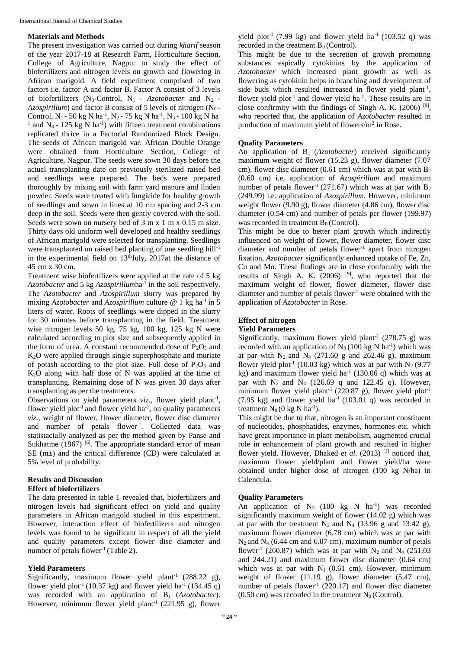## **Materials and Methods**

The present investigation was carried out during *kharif* season of the year 2017-18 at Research Farm, Horticulture Section, College of Agriculture, Nagpur to study the effect of biofertilizers and nitrogen levels on growth and flowering in African marigold. A field experiment comprised of two factors i.e. factor A and factor B. Factor A consist of 3 levels of biofertilizers (N0-Control, N1 - *Azotobacter* and N2 - *Azospirillum*) and factor B consist of 5 levels of nitrogen (N0 - Control, N<sub>1</sub> - 50 kg N ha<sup>-1</sup>, N<sub>2</sub> - 75 kg N ha<sup>-1</sup>, N<sub>3</sub> - 100 kg N ha<sup>-1</sup> <sup>1</sup> and N<sub>4</sub> - 125 kg N ha<sup>-1</sup>) with fifteen treatment combinations replicated thrice in a Factorial Randomized Block Design. The seeds of African marigold var. African Double Orange were obtained from Horticulture Section, College of Agriculture, Nagpur. The seeds were sown 30 days before the actual transplanting date on previously sterilized raised bed and seedlings were prepared. The beds were prepared thoroughly by mixing soil with farm yard manure and linden powder. Seeds were treated with fungicide for healthy growth of seedlings and sown in lines at 10 cm spacing and 2-3 cm deep in the soil. Seeds were then gently covered with the soil. Seeds were sown on nursery bed of 3 m x 1 m x 0.15 m size. Thirty days old uniform well developed and healthy seedlings of African marigold were selected for transplanting. Seedlings were transplanted on raised bed planting of one seedling hill<sup>-1</sup> in the experimental field on  $13<sup>th</sup>July$ ,  $2017at$  the distance of 45 cm x 30 cm.

Treatment wise biofertilizers were applied at the rate of 5 kg Azotobacter and 5 kg Azospirillumha<sup>-1</sup> in the soil respectively. The *Azotobacter* and *Azospirillum* slurry was prepared by mixing *Azotobacter* and *Azospirillum* culture @ 1 kg ha<sup>-1</sup> in 5 liters of water. Roots of seedlings were dipped in the slurry for 30 minutes before transplanting in the field. Treatment wise nitrogen levels 50 kg, 75 kg, 100 kg, 125 kg N were calculated according to plot size and subsequently applied in the form of urea. A constant recommended dose of  $P_2O_5$  and K2O were applied through single superphosphate and muriate of potash according to the plot size. Full dose of  $P_2O_5$  and K2O along with half dose of N was applied at the time of transplanting. Remaining dose of N was given 30 days after transplanting as per the treatments.

Observations on yield parameters *viz.*, flower yield plant<sup>-1</sup>, flower yield plot<sup>-1</sup> and flower yield  $ha^{-1}$ , on quality parameters *viz.,* weight of flower, flower diameter, flower disc diameter and number of petals flower<sup>-1</sup>. Collected data was statistacially analyzed as per the method given by Panse and Sukhatme (1967)<sup>[6]</sup>. The appropriate standard error of mean SE (m±) and the critical difference (CD) were calculated at 5% level of probability.

# **Results and Discussion**

# **Effect of biofertilizers**

The data presented in table 1 revealed that, biofertilizers and nitrogen levels had significant effect on yield and quality parameters in African marigold studied in this experiment. However, interaction effect of biofertilizers and nitrogen levels was found to be significant in respect of all the yield and quality parameters except flower disc diameter and number of petals flower<sup>-1</sup> (Table 2).

# **Yield Parameters**

Significantly, maximum flower yield plant<sup>-1</sup> (288.22 g), flower yield plot<sup>-1</sup> (10.37 kg) and flower yield ha<sup>-1</sup> (134.45 q) was recorded with an application of B<sub>1</sub> (*Azotobacter*). However, minimum flower yield plant<sup>-1</sup> (221.95 g), flower yield plot<sup>-1</sup> (7.99 kg) and flower yield ha<sup>-1</sup> (103.52 q) was recorded in the treatment  $B_0$  (Control).

This might be due to the secretion of growth promoting substances espically cytokinins by the application of *Azotobacter* which increased plant growth as well as flowering as cytokinin helps in branching and development of side buds which resulted increased in flower yield plant<sup>-1</sup>, flower yield plot<sup>-1</sup> and flower yield ha<sup>-1</sup>. These results are in close confirmity with the findings of Singh A. K.  $(2006)$ <sup>[9]</sup>, who reported that, the application of *Azotobacter* resulted in production of maximum yield of flowers/ $m<sup>2</sup>$  in Rose.

# **Quality Parameters**

An application of B1 (*Azotobacter*) received significantly maximum weight of flower (15.23 g), flower diameter (7.07 cm), flower disc diameter (0.61 cm) which was at par with  $B_2$ (0.60 cm) i.e. application of *Azospirillum* and maximum number of petals flower<sup>-1</sup> (271.67) which was at par with  $B_2$ (249.99) i.e. application of *Azospirillum*. However, minimum weight flower (9.90 g), flower diameter (4.86 cm), flower disc diameter (0.54 cm) and number of petals per flower (199.97) was recorded in treatment  $B_0$  (Control).

This might be due to better plant growth which indirectly influenced on weight of flower, flower diameter, flower disc diameter and number of petals flower<sup>-1</sup> apart from nitrogen fixation, *Azotobacter* significantly enhanced uptake of Fe, Zn, Cu and Mo. These findings are in close conformity with the results of Singh A. K.  $(2006)$  <sup>[9]</sup>, who reported that the maximum weight of flower, flower diameter, flower disc diameter and number of petals flower-1 were obtained with the application of *Azotobacter* in Rose.

# **Effect of nitrogen**

# **Yield Parameters**

Significantly, maximum flower yield plant<sup>-1</sup> (278.75 g) was recorded with an application of  $N_3$  (100 kg N ha<sup>-1</sup>) which was at par with  $N_2$  and  $N_4$  (271.60 g and 262.46 g), maximum flower yield plot<sup>-1</sup> (10.03 kg) which was at par with  $N_2$  (9.77 kg) and maximum flower yield ha<sup>-1</sup> (130.06 q) which was at par with  $N_2$  and  $N_4$  (126.69 q and 122.45 q). However, minimum flower yield plant<sup>-1</sup> (220.87 g), flower yield plot<sup>-1</sup>  $(7.95 \text{ kg})$  and flower yield ha<sup>-1</sup> (103.01 q) was recorded in treatment  $N_0$  (0 kg N ha<sup>-1</sup>).

This might be due to that, nitrogen is an important constituent of nucleotides, phosphatides, enzymes, hormones etc. which have great importance in plant metabolism, augmented crucial role in enhancement of plant growth and resulted in higher flower yield. However, Dhaked *et al*. (2013) [3] noticed that, maximum flower yield/plant and flower yield/ha were obtained under higher dose of nitrogen (100 kg N/ha) in Calendula.

# **Quality Parameters**

An application of  $N_3$  (100 kg N ha<sup>-1</sup>) was recorded significantly maximum weight of flower (14.02 g) which was at par with the treatment  $N_2$  and  $N_4$  (13.96 g and 13.42 g), maximum flower diameter (6.78 cm) which was at par with  $N_2$  and  $N_4$  (6.44 cm and 6.07 cm), maximum number of petals flower<sup>-1</sup> (260.87) which was at par with  $N_2$  and  $N_4$  (251.03) and 244.21) and maximum flower disc diameter (0.64 cm) which was at par with  $N_1$  (0.61 cm). However, minimum weight of flower (11.19 g), flower diameter (5.47 cm), number of petals flower<sup>-1</sup> (220.17) and flower disc diameter  $(0.50 \text{ cm})$  was recorded in the treatment N<sub>0</sub> (Control).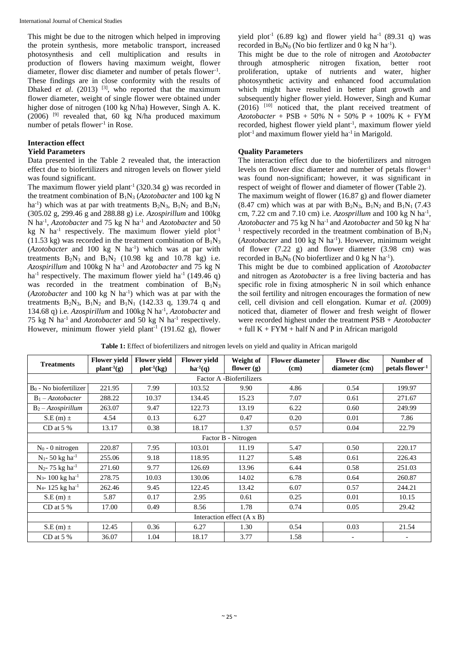This might be due to the nitrogen which helped in improving the protein synthesis, more metabolic transport, increased photosynthesis and cell multiplication and results in production of flowers having maximum weight, flower diameter, flower disc diameter and number of petals flower-1 . These findings are in close conformity with the results of Dhaked *et al.* (2013)  $^{[3]}$ , who reported that the maximum flower diameter, weight of single flower were obtained under higher dose of nitrogen (100 kg N/ha) However, Singh A. K.  $(2006)$ <sup>[9]</sup> revealed that, 60 kg N/ha produced maximum number of petals flower<sup>-1</sup> in Rose.

# **Interaction effect**

# **Yield Parameters**

Data presented in the Table 2 revealed that, the interaction effect due to biofertilizers and nitrogen levels on flower yield was found significant.

The maximum flower yield plant<sup>-1</sup> (320.34 g) was recorded in the treatment combination of B1N<sup>3</sup> (*Azotobacter* and 100 kg N ha<sup>-1</sup>) which was at par with treatments  $B_2N_3$ ,  $B_1N_2$  and  $B_1N_1$ (305.02 g, 299.46 g and 288.88 g) i.e. *Azospirillum* and 100kg N ha-1 , *Azotobacter* and 75 kg N ha-1 and *Azotobacter* and 50 kg N ha<sup>-1</sup> respectively. The maximum flower yield plot<sup>-1</sup>  $(11.53 \text{ kg})$  was recorded in the treatment combination of  $B_1N_3$ (*Azotobacter* and 100 kg N ha-1 ) which was at par with treatments  $B_2N_3$  and  $B_1N_2$  (10.98 kg and 10.78 kg) i.e. *Azospirillum* and 100kg N ha-1 and *Azotobacter* and 75 kg N ha<sup>-1</sup> respectively. The maximum flower yield ha<sup>-1</sup> (149.46 q) was recorded in the treatment combination of  $B_1N_3$  $(Azotobacter$  and 100 kg N ha<sup>-1</sup>) which was at par with the treatments  $B_2N_3$ ,  $B_1N_2$  and  $B_1N_1$  (142.33 q, 139.74 q and 134.68 q) i.e. *Azospirillum* and 100kg N ha-1 , *Azotobacter* and 75 kg N ha-1 and *Azotobacter* and 50 kg N ha-1 respectively. However, minimum flower yield plant<sup>-1</sup> (191.62 g), flower

This might be due to the role of nitrogen and *Azotobacter*  through atmospheric nitrogen fixation, better root proliferation, uptake of nutrients and water, higher photosynthetic activity and enhanced food accumulation which might have resulted in better plant growth and subsequently higher flower yield. However, Singh and Kumar  $(2016)$ <sup>[10]</sup> noticed that, the plant received treatment of  $A$ *zotobacter* + PSB + 50% N + 50% P + 100% K + FYM recorded, highest flower yield plant<sup>-1</sup>, maximum flower yield plot<sup>-1</sup> and maximum flower yield ha<sup>-1</sup> in Marigold.

# **Quality Parameters**

The interaction effect due to the biofertilizers and nitrogen levels on flower disc diameter and number of petals flower<sup>-1</sup> was found non-significant; however, it was significant in respect of weight of flower and diameter of flower (Table 2). The maximum weight of flower (16.87 g) and flower diameter  $(8.47 \text{ cm})$  which was at par with  $B_2N_3$ ,  $B_1N_2$  and  $B_1N_1$  (7.43) cm, 7.22 cm and 7.10 cm) i.e. *Azosprillum* and 100 kg N ha-1 , *Azotobacter* and 75 kg N ha-1 and *Azotobacter* and 50 kg N ha-<sup>1</sup> respectively recorded in the treatment combination of  $B_1N_3$ (*Azotobacter* and 100 kg N ha<sup>-1</sup>). However, minimum weight of flower (7.22 g) and flower diameter (3.98 cm) was recorded in  $B_0N_0$  (No biofertlizer and 0 kg N ha<sup>-1</sup>).

This might be due to combined application of *Azotobacter*  and nitrogen as *Azotobacter* is a free living bacteria and has specific role in fixing atmospheric N in soil which enhance the soil fertility and nitrogen encourages the formation of new cell, cell division and cell elongation. Kumar *et al*. (2009) noticed that, diameter of flower and fresh weight of flower were recorded highest under the treatment PSB + *Azotobacter*  $+$  full  $K + FYM + half N$  and P in African marigold

| <b>Treatments</b>               | <b>Flower vield</b>    | <b>Flower vield</b> | <b>Flower yield</b> | Weight of    | <b>Flower diameter</b> | <b>Flower</b> disc       | Number of                   |  |  |  |
|---------------------------------|------------------------|---------------------|---------------------|--------------|------------------------|--------------------------|-----------------------------|--|--|--|
|                                 | plant <sup>1</sup> (g) | $plot^{-1}(kg)$     | $ha^{-1}(q)$        | flower $(g)$ | (cm)                   | diameter (cm)            | petals flower <sup>-1</sup> |  |  |  |
| Factor A -Biofertilizers        |                        |                     |                     |              |                        |                          |                             |  |  |  |
| $Bo - No biofertilizer$         | 221.95                 | 7.99                | 103.52              | 9.90         | 4.86                   | 0.54                     | 199.97                      |  |  |  |
| $B_1 - Azotobacter$             | 288.22                 | 10.37               | 134.45              | 15.23        | 7.07                   | 0.61                     | 271.67                      |  |  |  |
| $B_2 - A z o$ spirillum         | 263.07                 | 9.47                | 122.73              | 13.19        | 6.22                   | 0.60                     | 249.99                      |  |  |  |
| $S.E(m)$ $\pm$                  | 4.54                   | 0.13                | 6.27                | 0.47         | 0.20                   | 0.01                     | 7.86                        |  |  |  |
| CD at $5\%$                     | 13.17                  | 0.38                | 18.17               | 1.37         | 0.57                   | 0.04                     | 22.79                       |  |  |  |
| Factor B - Nitrogen             |                        |                     |                     |              |                        |                          |                             |  |  |  |
| $N_0$ - 0 nitrogen              | 220.87                 | 7.95                | 103.01              | 11.19        | 5.47                   | 0.50                     | 220.17                      |  |  |  |
| $N_1$ - 50 kg ha <sup>-1</sup>  | 255.06                 | 9.18                | 118.95              | 11.27        | 5.48                   | 0.61                     | 226.43                      |  |  |  |
| $N_2$ - 75 kg ha <sup>-1</sup>  | 271.60                 | 9.77                | 126.69              | 13.96        | 6.44                   | 0.58                     | 251.03                      |  |  |  |
| $N_3$ - 100 kg ha <sup>-1</sup> | 278.75                 | 10.03               | 130.06              | 14.02        | 6.78                   | 0.64                     | 260.87                      |  |  |  |
| $N_4$ - 125 kg ha <sup>-1</sup> | 262.46                 | 9.45                | 122.45              | 13.42        | 6.07                   | 0.57                     | 244.21                      |  |  |  |
| $S.E(m)$ ±                      | 5.87                   | 0.17                | 2.95                | 0.61         | 0.25                   | 0.01                     | 10.15                       |  |  |  |
| CD at $5\%$                     | 17.00                  | 0.49                | 8.56                | 1.78         | 0.74                   | 0.05                     | 29.42                       |  |  |  |
| Interaction effect (A x B)      |                        |                     |                     |              |                        |                          |                             |  |  |  |
| $S.E(m) \pm$                    | 12.45                  | 0.36                | 6.27                | 1.30         | 0.54                   | 0.03                     | 21.54                       |  |  |  |
| CD at $5\%$                     | 36.07                  | 1.04                | 18.17               | 3.77         | 1.58                   | $\overline{\phantom{0}}$ |                             |  |  |  |

**Table 1:** Effect of biofertilizers and nitrogen levels on yield and quality in African marigold